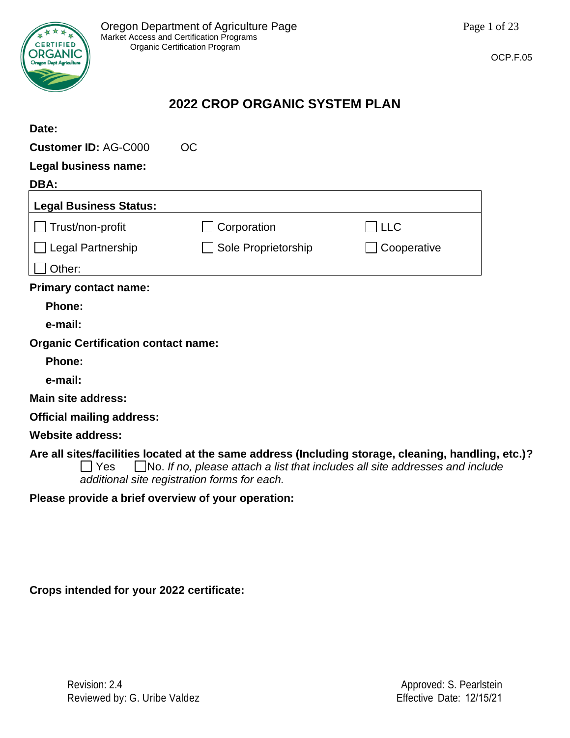

## **2022 CROP ORGANIC SYSTEM PLAN**

| Date:                                      |                                                                                                                                                                                                                                            |             |  |
|--------------------------------------------|--------------------------------------------------------------------------------------------------------------------------------------------------------------------------------------------------------------------------------------------|-------------|--|
| <b>Customer ID: AG-C000</b>                | <b>OC</b>                                                                                                                                                                                                                                  |             |  |
| Legal business name:                       |                                                                                                                                                                                                                                            |             |  |
| DBA:                                       |                                                                                                                                                                                                                                            |             |  |
| <b>Legal Business Status:</b>              |                                                                                                                                                                                                                                            |             |  |
| Trust/non-profit                           | Corporation                                                                                                                                                                                                                                | 」LLC        |  |
| Legal Partnership                          | Sole Proprietorship                                                                                                                                                                                                                        | Cooperative |  |
| Other:                                     |                                                                                                                                                                                                                                            |             |  |
| <b>Primary contact name:</b>               |                                                                                                                                                                                                                                            |             |  |
| <b>Phone:</b>                              |                                                                                                                                                                                                                                            |             |  |
| e-mail:                                    |                                                                                                                                                                                                                                            |             |  |
| <b>Organic Certification contact name:</b> |                                                                                                                                                                                                                                            |             |  |
| <b>Phone:</b>                              |                                                                                                                                                                                                                                            |             |  |
| e-mail:                                    |                                                                                                                                                                                                                                            |             |  |
| <b>Main site address:</b>                  |                                                                                                                                                                                                                                            |             |  |
| <b>Official mailing address:</b>           |                                                                                                                                                                                                                                            |             |  |
| <b>Website address:</b>                    |                                                                                                                                                                                                                                            |             |  |
| Yes                                        | Are all sites/facilities located at the same address (Including storage, cleaning, handling, etc.)?<br>$\Box$ No. If no, please attach a list that includes all site addresses and include<br>additional site registration forms for each. |             |  |

**Please provide a brief overview of your operation:**

**Crops intended for your 2022 certificate:**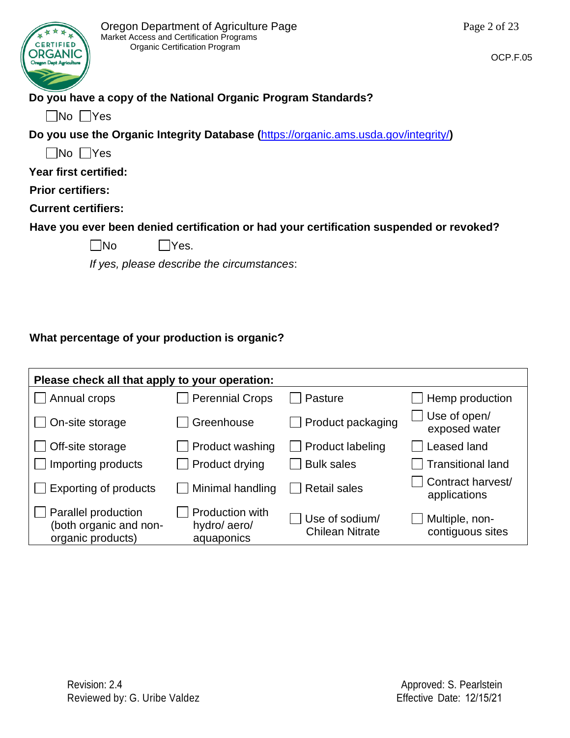

# **Do you have a copy of the National Organic Program Standards?**

 $\Box$ No  $\Box$ Yes

**Do you use the Organic Integrity Database (**<https://organic.ams.usda.gov/integrity/>**)** 

 $\Box$ No  $\Box$ Yes

**Year first certified:**

**Prior certifiers:** 

**Current certifiers:**

**Have you ever been denied certification or had your certification suspended or revoked?**

 $\n  $\blacksquare$  Yes.$ 

*If yes, please describe the circumstances*:

## **What percentage of your production is organic?**

| Please check all that apply to your operation:                     |                                              |                                          |                                    |  |  |
|--------------------------------------------------------------------|----------------------------------------------|------------------------------------------|------------------------------------|--|--|
| Annual crops                                                       | <b>Perennial Crops</b>                       | Pasture                                  | Hemp production                    |  |  |
| On-site storage                                                    | Greenhouse                                   | Product packaging                        | Use of open/<br>exposed water      |  |  |
| Off-site storage                                                   | Product washing                              | $\Box$ Product labeling                  | Leased land                        |  |  |
| Importing products                                                 | Product drying                               | <b>Bulk sales</b>                        | <b>Transitional land</b>           |  |  |
| <b>Exporting of products</b>                                       | Minimal handling                             | <b>Retail sales</b>                      | Contract harvest/<br>applications  |  |  |
| Parallel production<br>(both organic and non-<br>organic products) | Production with<br>hydro/aero/<br>aquaponics | Use of sodium/<br><b>Chilean Nitrate</b> | Multiple, non-<br>contiguous sites |  |  |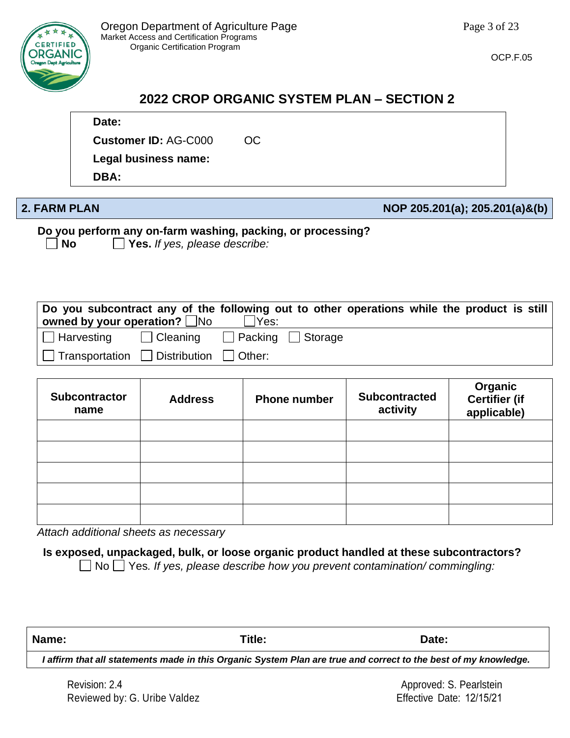

# **2022 CROP ORGANIC SYSTEM PLAN – SECTION 2**

### **Date:**

**Customer ID:** AG-C000 OC

**Legal business name:** 

**DBA:** 

### **2. FARM PLAN NOP 205.201(a); 205.201(a)&(b)**

**Do you perform any on-farm washing, packing, or processing?**

**No Yes.** *If yes, please describe:*

| Do you subcontract any of the following out to other operations while the product is still<br>owned by your operation? $\square$ No |                                | Yes: |  |  |  |
|-------------------------------------------------------------------------------------------------------------------------------------|--------------------------------|------|--|--|--|
| ∣ ∐ Harvesting                                                                                                                      | □ Cleaning □ Packing □ Storage |      |  |  |  |
| $ \bigsqcup$ Transportation $\bigsqcup$ Distribution $\bigsqcup$ Other:                                                             |                                |      |  |  |  |

| <b>Subcontractor</b><br>name | <b>Address</b> | <b>Phone number</b> | <b>Subcontracted</b><br>activity | Organic<br>Certifier (if<br>applicable) |
|------------------------------|----------------|---------------------|----------------------------------|-----------------------------------------|
|                              |                |                     |                                  |                                         |
|                              |                |                     |                                  |                                         |
|                              |                |                     |                                  |                                         |
|                              |                |                     |                                  |                                         |
|                              |                |                     |                                  |                                         |

*Attach additional sheets as necessary*

**Is exposed, unpackaged, bulk, or loose organic product handled at these subcontractors?**

No Yes*. If yes, please describe how you prevent contamination/ commingling:*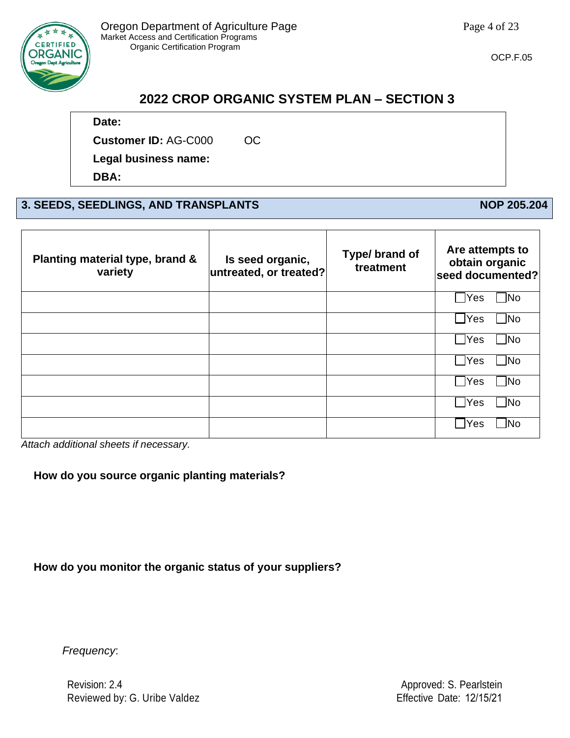

# **2022 CROP ORGANIC SYSTEM PLAN – SECTION 3**

### **Date:**

**Customer ID:** AG-C000 OC

**Legal business name:** 

**DBA:** 

## **3. SEEDS, SEEDLINGS, AND TRANSPLANTS NOP 205.204**

| Planting material type, brand &<br>variety | Is seed organic,<br>untreated, or treated? | Type/ brand of<br>treatment | Are attempts to<br>obtain organic<br>seed documented? |
|--------------------------------------------|--------------------------------------------|-----------------------------|-------------------------------------------------------|
|                                            |                                            |                             | ∃No<br>$\exists$ Yes                                  |
|                                            |                                            |                             | $\exists$ No<br>$\sqcup$ Yes                          |
|                                            |                                            |                             | $\blacksquare$ No<br>$7$ Yes                          |
|                                            |                                            |                             | $\Box$ No<br>$\Box$ Yes                               |
|                                            |                                            |                             | $\blacksquare$ No<br>$7$ Yes                          |
|                                            |                                            |                             | $\Box$ No<br> Yes                                     |
|                                            |                                            |                             | ้ No<br><b>IYes</b>                                   |

*Attach additional sheets if necessary.*

#### **How do you source organic planting materials?**

**How do you monitor the organic status of your suppliers?**

*Frequency*:

Revision: 2.4 Reviewed by: G. Uribe Valdez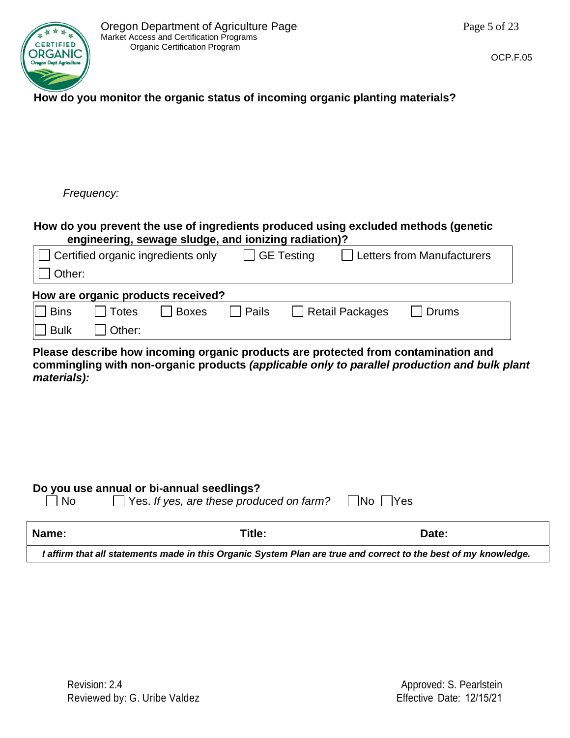

### **How do you monitor the organic status of incoming organic planting materials?**

*Frequency:*

#### **How do you prevent the use of ingredients produced using excluded methods (genetic engineering, sewage sludge, and ionizing radiation)?**

|                    | $\Box$ Certified organic ingredients only |       |       | GE Testing |                        | Letters from Manufacturers |
|--------------------|-------------------------------------------|-------|-------|------------|------------------------|----------------------------|
| $\Box$ Other:      |                                           |       |       |            |                        |                            |
|                    | How are organic products received?        |       |       |            |                        |                            |
| Ⅱ  Bins            | Totes                                     | Boxes | Pails |            | $\Box$ Retail Packages | Drums                      |
| $\parallel$   Bulk | Other:                                    |       |       |            |                        |                            |

**Please describe how incoming organic products are protected from contamination and commingling with non-organic products** *(applicable only to parallel production and bulk plant materials):* 

#### **Do you use annual or bi-annual seedlings?**

| $\Box$ No | $\Box$ Yes. If yes, are these produced on farm? $\Box$ No $\Box$ Yes |  |
|-----------|----------------------------------------------------------------------|--|
|           |                                                                      |  |

| Name:                                                                                                           | Title: | Date: |  |
|-----------------------------------------------------------------------------------------------------------------|--------|-------|--|
| I affirm that all statements made in this Organic System Plan are true and correct to the best of my knowledge. |        |       |  |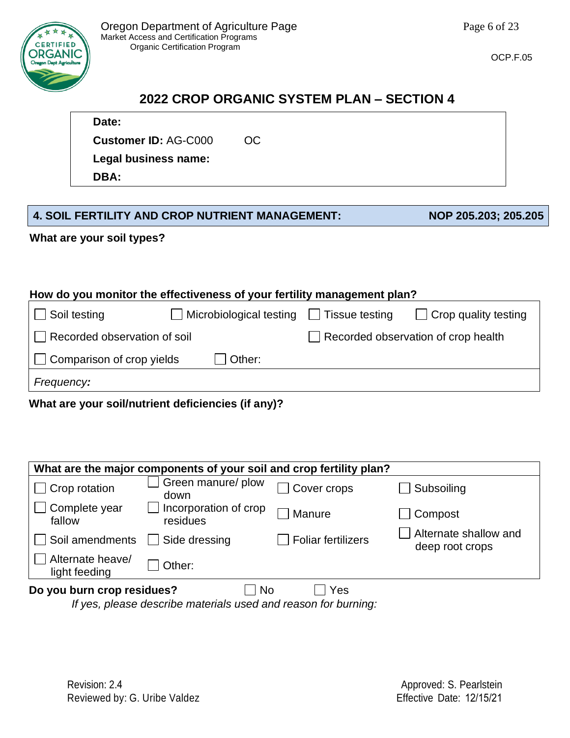

# **2022 CROP ORGANIC SYSTEM PLAN – SECTION 4**

# **Date:**

**Customer ID:** AG-C000 OC

**Legal business name:** 

**DBA:** 

## **4. SOIL FERTILITY AND CROP NUTRIENT MANAGEMENT: NOP 205.203; 205.205**

**What are your soil types?**

### **How do you monitor the effectiveness of your fertility management plan?**

| $\Box$ Soil testing              | $\Box$ Microbiological testing $\Box$ Tissue testing | $\Box$ Crop quality testing         |
|----------------------------------|------------------------------------------------------|-------------------------------------|
| Recorded observation of soil     |                                                      | Recorded observation of crop health |
| $\Box$ Comparison of crop yields | Other:                                               |                                     |
| Frequency:                       |                                                      |                                     |

## **What are your soil/nutrient deficiencies (if any)?**

| What are the major components of your soil and crop fertility plan? |                                   |                           |                                          |  |
|---------------------------------------------------------------------|-----------------------------------|---------------------------|------------------------------------------|--|
| $\Box$ Crop rotation                                                | Green manure/ plow<br>down        | Cover crops               | Subsoiling                               |  |
| Complete year<br>fallow                                             | Incorporation of crop<br>residues | Manure                    | Compost                                  |  |
| Soil amendments                                                     | Side dressing                     | <b>Foliar fertilizers</b> | Alternate shallow and<br>deep root crops |  |
| Alternate heave/<br>light feeding                                   | Other:                            |                           |                                          |  |
| Do you burn crop residues?<br><b>No</b><br>Yes                      |                                   |                           |                                          |  |

*If yes, please describe materials used and reason for burning:*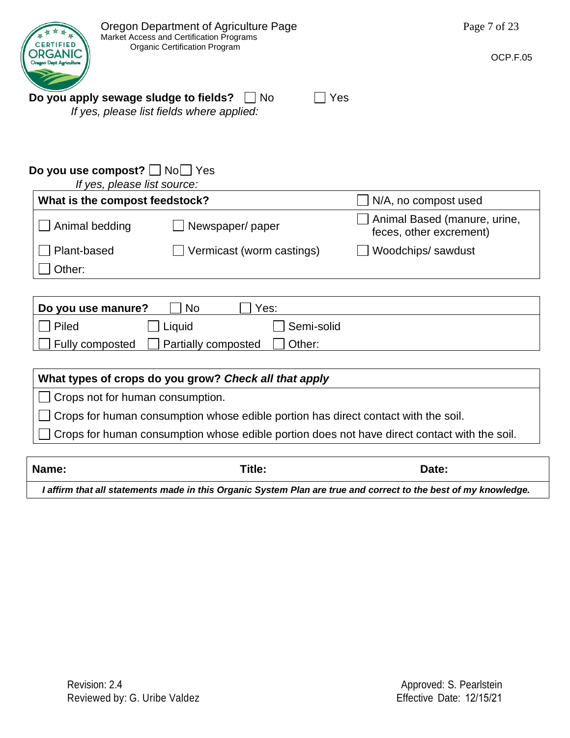| Title:<br>Name:                                                                              | Date:                                                   |
|----------------------------------------------------------------------------------------------|---------------------------------------------------------|
|                                                                                              |                                                         |
| Crops for human consumption whose edible portion does not have direct contact with the soil. |                                                         |
| Crops for human consumption whose edible portion has direct contact with the soil.           |                                                         |
| Crops not for human consumption.                                                             |                                                         |
| What types of crops do you grow? Check all that apply                                        |                                                         |
|                                                                                              |                                                         |
| Other:<br>Fully composted<br>Partially composted                                             |                                                         |
| Piled<br>Liquid<br>Semi-solid                                                                |                                                         |
| <b>No</b><br>Yes:<br>Do you use manure?                                                      |                                                         |
|                                                                                              |                                                         |
| Other:                                                                                       |                                                         |
| Plant-based<br>Vermicast (worm castings)                                                     | Woodchips/sawdust                                       |
| Animal bedding<br>Newspaper/paper                                                            | Animal Based (manure, urine,<br>feces, other excrement) |
| What is the compost feedstock?                                                               | N/A, no compost used                                    |
| If yes, please list source:                                                                  |                                                         |
| Do you use compost? No Yes                                                                   |                                                         |
|                                                                                              |                                                         |
| If yes, please list fields where applied:                                                    |                                                         |
| Do you apply sewage sludge to fields?<br>$\sqcap$ No                                         | Yes                                                     |
| <b>Oregon Dept Agricultur</b>                                                                |                                                         |
| <b>RTIFIED</b><br><b>Organic Certification Program</b><br>DRGANIC                            | OCP.F.05                                                |
| Market Access and Certification Programs                                                     |                                                         |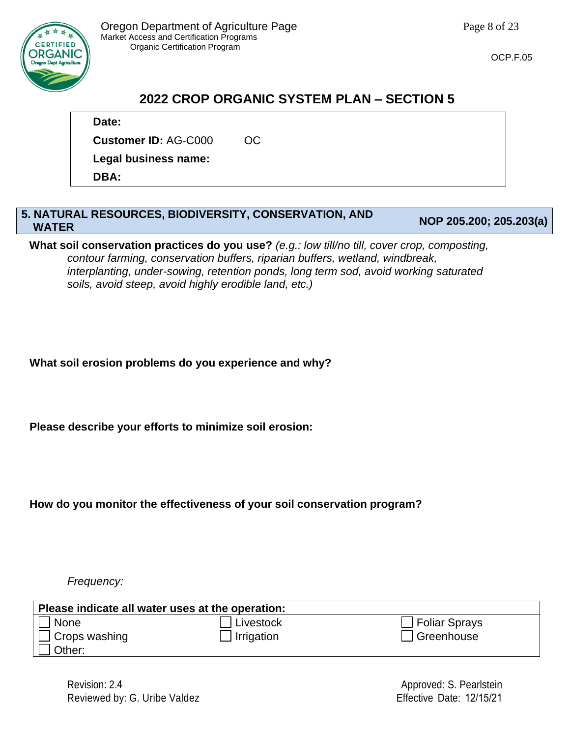

# **2022 CROP ORGANIC SYSTEM PLAN – SECTION 5**

**Date:** 

**Customer ID:** AG-C000 OC

**Legal business name:** 

**DBA:** 

#### **5. NATURAL RESOURCES, BIODIVERSITY, CONSERVATION, AND WATER NOP 205.200; 205.203(a)**

**What soil conservation practices do you use?** *(e.g.: low till/no till, cover crop, composting, contour farming, conservation buffers, riparian buffers, wetland, windbreak, interplanting, under-sowing, retention ponds, long term sod, avoid working saturated soils, avoid steep, avoid highly erodible land, etc.)*

**What soil erosion problems do you experience and why?**

**Please describe your efforts to minimize soil erosion:**

**How do you monitor the effectiveness of your soil conservation program?**

*Frequency:*

| Please indicate all water uses at the operation: |            |                         |  |  |  |
|--------------------------------------------------|------------|-------------------------|--|--|--|
| None                                             | Livestock  | $\Box$ Foliar Sprays    |  |  |  |
| Crops washing                                    | Irrigation | <sup>1</sup> Greenhouse |  |  |  |
| Other:                                           |            |                         |  |  |  |

Revision: 2.4 Reviewed by: G. Uribe Valdez

Approved: S. Pearlstein Effective Date: 12/15/21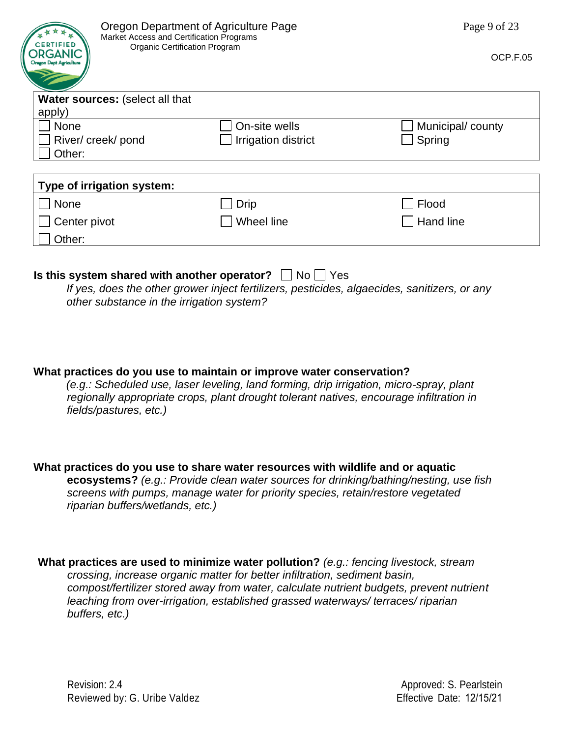| Oregon Department of Agriculture Page<br>Market Access and Certification Programs          | Page 9 of 23        |                  |
|--------------------------------------------------------------------------------------------|---------------------|------------------|
| <b>CERTIFIED</b><br><b>Organic Certification Program</b><br><b>Oregon Dept Agriculture</b> | OCP.F.05            |                  |
| <b>Water sources: (select all that</b>                                                     |                     |                  |
| apply)                                                                                     |                     |                  |
| None                                                                                       | On-site wells       | Municipal/county |
| River/ creek/ pond                                                                         | Irrigation district | Spring           |
| Other:                                                                                     |                     |                  |
|                                                                                            |                     |                  |
| Type of irrigation system:                                                                 |                     |                  |
| None                                                                                       | Drip                | Flood            |
| Center pivot                                                                               | Wheel line          | Hand line        |
| Other:                                                                                     |                     |                  |

#### **Is this system shared with another operator?**  $\Box$  No  $\Box$  Yes

*If yes, does the other grower inject fertilizers, pesticides, algaecides, sanitizers, or any other substance in the irrigation system?*

**What practices do you use to maintain or improve water conservation?** 

*(e.g.: Scheduled use, laser leveling, land forming, drip irrigation, micro-spray, plant regionally appropriate crops, plant drought tolerant natives, encourage infiltration in fields/pastures, etc.)*

**What practices do you use to share water resources with wildlife and or aquatic ecosystems?** *(e.g.: Provide clean water sources for drinking/bathing/nesting, use fish screens with pumps, manage water for priority species, retain/restore vegetated riparian buffers/wetlands, etc.)*

**What practices are used to minimize water pollution?** *(e.g.: fencing livestock, stream crossing, increase organic matter for better infiltration, sediment basin, compost/fertilizer stored away from water, calculate nutrient budgets, prevent nutrient leaching from over-irrigation, established grassed waterways/ terraces/ riparian buffers, etc.)*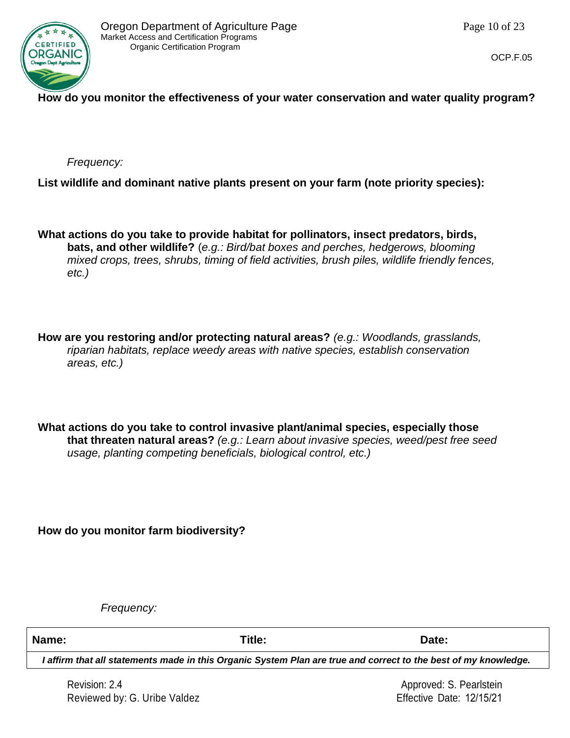

### **How do you monitor the effectiveness of your water conservation and water quality program?**

*Frequency:*

**List wildlife and dominant native plants present on your farm (note priority species):**

**What actions do you take to provide habitat for pollinators, insect predators, birds, bats, and other wildlife?** (*e.g.: Bird/bat boxes and perches, hedgerows, blooming mixed crops, trees, shrubs, timing of field activities, brush piles, wildlife friendly fences, etc.)*

**How are you restoring and/or protecting natural areas?** *(e.g.: Woodlands, grasslands, riparian habitats, replace weedy areas with native species, establish conservation areas, etc.)*

**What actions do you take to control invasive plant/animal species, especially those that threaten natural areas?** *(e.g.: Learn about invasive species, weed/pest free seed usage, planting competing beneficials, biological control, etc.)*

**How do you monitor farm biodiversity?**

*Frequency:*

**Name: Title: Date:**

*I affirm that all statements made in this Organic System Plan are true and correct to the best of my knowledge.*

Revision: 2.4 Reviewed by: G. Uribe Valdez

Approved: S. Pearlstein Effective Date: 12/15/21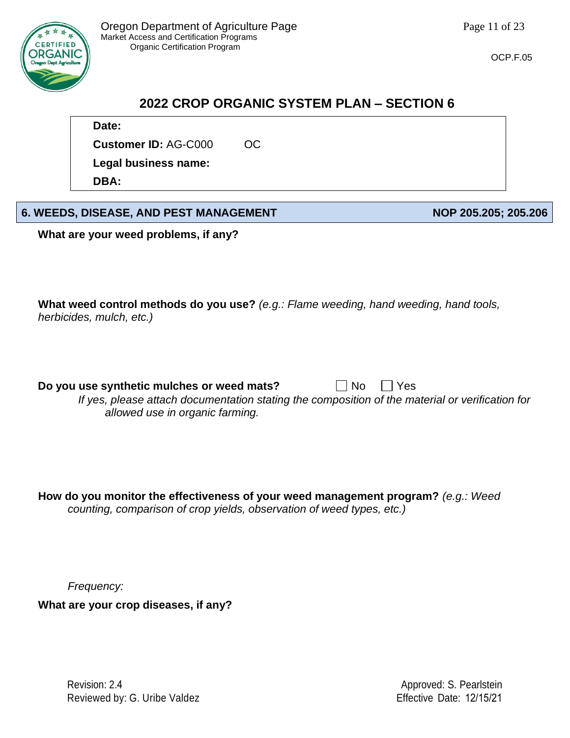

## **2022 CROP ORGANIC SYSTEM PLAN – SECTION 6**

**Date:** 

**Customer ID:** AG-C000 OC

**Legal business name:** 

**DBA:** 

## **6. WEEDS, DISEASE, AND PEST MANAGEMENT NOP 205.205; 205.206**

**What are your weed problems, if any?**

**What weed control methods do you use?** *(e.g.: Flame weeding, hand weeding, hand tools, herbicides, mulch, etc.)*

**Do you use synthetic mulches or weed mats?**  $\Box$  No  $\Box$  Yes

*If yes, please attach documentation stating the composition of the material or verification for allowed use in organic farming.*

**How do you monitor the effectiveness of your weed management program?** *(e.g.: Weed counting, comparison of crop yields, observation of weed types, etc.)*

*Frequency:*

**What are your crop diseases, if any?**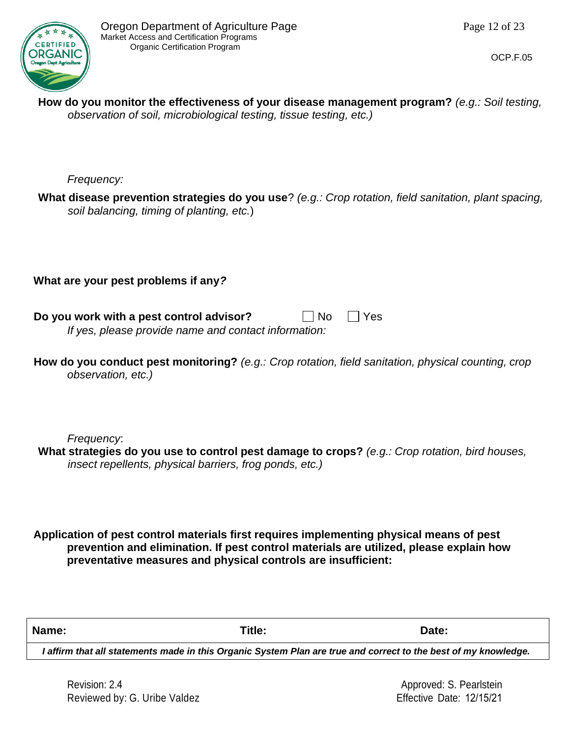

**How do you monitor the effectiveness of your disease management program?** *(e.g.: Soil testing, observation of soil, microbiological testing, tissue testing, etc.)*

*Frequency:*

**What disease prevention strategies do you use**? *(e.g.: Crop rotation, field sanitation, plant spacing, soil balancing, timing of planting, etc.*)

**What are your pest problems if any***?*

| Do you work with a pest control advisor?             | $\Box$ No $\Box$ Yes |
|------------------------------------------------------|----------------------|
| If yes, please provide name and contact information: |                      |

| How do you conduct pest monitoring? (e.g.: Crop rotation, field sanitation, physical counting, crop |  |  |
|-----------------------------------------------------------------------------------------------------|--|--|
| observation, etc.)                                                                                  |  |  |

*Frequency*:

**What strategies do you use to control pest damage to crops?** *(e.g.: Crop rotation, bird houses, insect repellents, physical barriers, frog ponds, etc.)*

**Application of pest control materials first requires implementing physical means of pest prevention and elimination. If pest control materials are utilized, please explain how preventative measures and physical controls are insufficient:**

**Name: Title: Date:**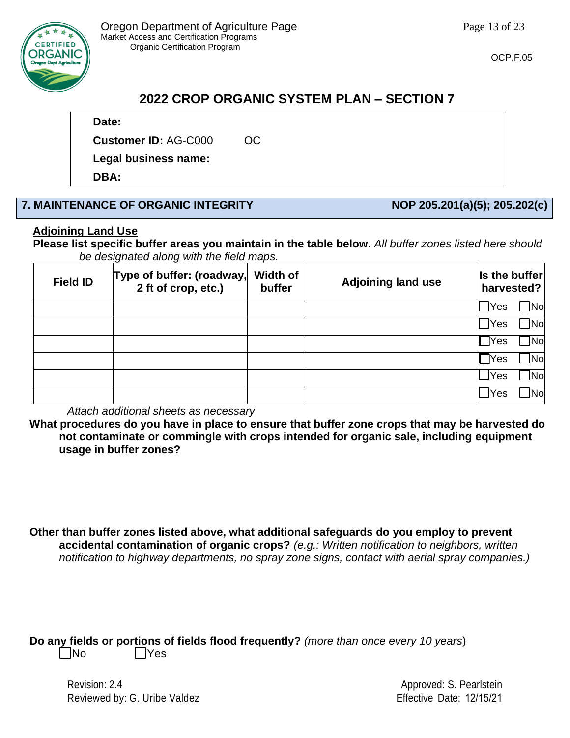

# **2022 CROP ORGANIC SYSTEM PLAN – SECTION 7**

#### **Date:**

**Customer ID:** AG-C000 OC

**Legal business name:** 

**DBA:** 

## **7. MAINTENANCE OF ORGANIC INTEGRITY NOP 205.201(a)(5); 205.202(c)**

### **Adjoining Land Use**

**Please list specific buffer areas you maintain in the table below.** *All buffer zones listed here should be designated along with the field maps.*

| <b>Field ID</b> | Type of buffer: (roadway,<br>2 ft of crop, etc.) | Width of<br>buffer | <b>Adjoining land use</b> | Is the buffer<br>harvested? |
|-----------------|--------------------------------------------------|--------------------|---------------------------|-----------------------------|
|                 |                                                  |                    |                           | 1Nol<br><b>Yes</b>          |
|                 |                                                  |                    |                           | Nol<br><u>J</u> Yes         |
|                 |                                                  |                    |                           | Mol<br>$\exists$ Yes        |
|                 |                                                  |                    |                           | Nol<br>TYes:                |
|                 |                                                  |                    |                           | Nol<br>lYes                 |
|                 |                                                  |                    |                           | Nol<br><b>Yes</b>           |

*Attach additional sheets as necessary*

**What procedures do you have in place to ensure that buffer zone crops that may be harvested do not contaminate or commingle with crops intended for organic sale, including equipment usage in buffer zones?**

**Other than buffer zones listed above, what additional safeguards do you employ to prevent accidental contamination of organic crops?** *(e.g.: Written notification to neighbors, written notification to highway departments, no spray zone signs, contact with aerial spray companies.)*

**Do any fields or portions of fields flood frequently?** *(more than once every 10 years*)

No Yes

Revision: 2.4 Reviewed by: G. Uribe Valdez

Approved: S. Pearlstein Effective Date: 12/15/21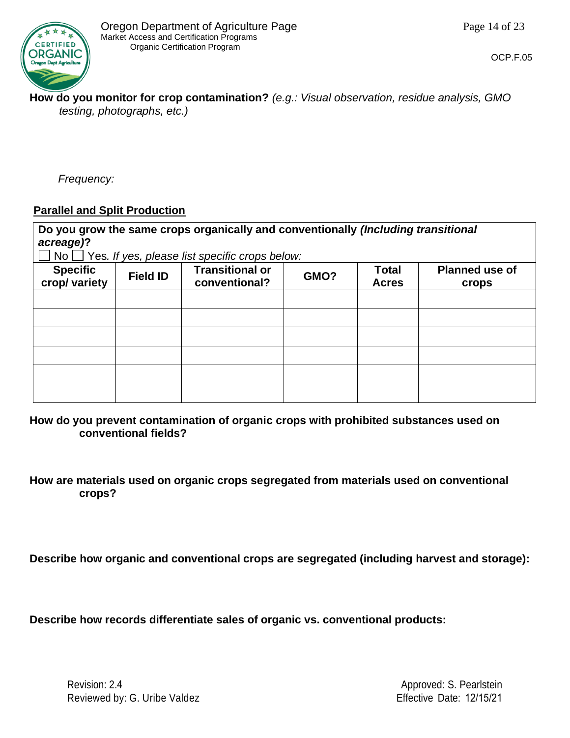

**How do you monitor for crop contamination?** *(e.g.: Visual observation, residue analysis, GMO testing, photographs, etc.)*

*Frequency:*

#### **Parallel and Split Production**

**Do you grow the same crops organically and conventionally** *(Including transitional acreage)***?**

No Yes*. If yes, please list specific crops below:*

| Specific<br>crop/ variety | $\sim$ $\blacksquare$<br><b>Field ID</b> | <b>Transitional or</b><br>conventional? | GMO? | <b>Total</b><br><b>Acres</b> | <b>Planned use of</b><br>crops |
|---------------------------|------------------------------------------|-----------------------------------------|------|------------------------------|--------------------------------|
|                           |                                          |                                         |      |                              |                                |
|                           |                                          |                                         |      |                              |                                |
|                           |                                          |                                         |      |                              |                                |
|                           |                                          |                                         |      |                              |                                |
|                           |                                          |                                         |      |                              |                                |
|                           |                                          |                                         |      |                              |                                |

**How do you prevent contamination of organic crops with prohibited substances used on conventional fields?**

**How are materials used on organic crops segregated from materials used on conventional crops?**

**Describe how organic and conventional crops are segregated (including harvest and storage):**

**Describe how records differentiate sales of organic vs. conventional products:**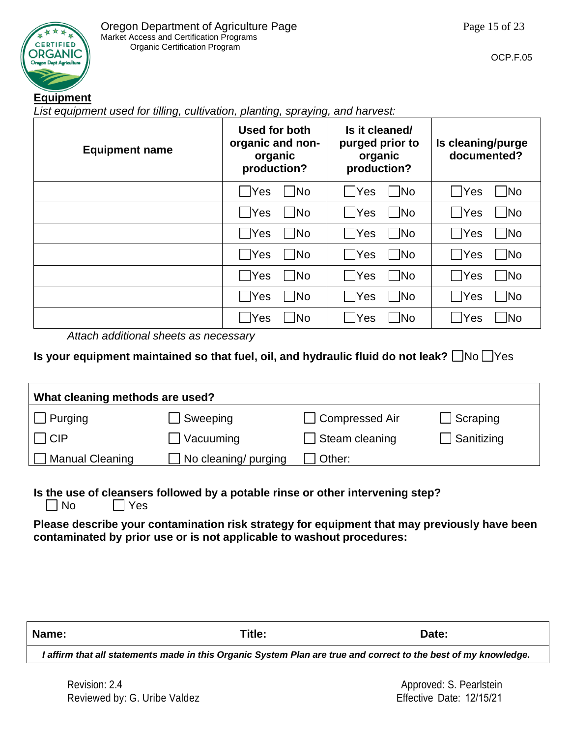

#### **Equipment**

*List equipment used for tilling, cultivation, planting, spraying, and harvest:*

| <b>Equipment name</b> | Used for both<br>organic and non-<br>organic<br>production? | Is it cleaned/<br>purged prior to<br>organic<br>production? | Is cleaning/purge<br>documented? |
|-----------------------|-------------------------------------------------------------|-------------------------------------------------------------|----------------------------------|
|                       |                                                             | <b>No</b>                                                   | Yes                              |
|                       | No                                                          | <b>Yes</b>                                                  | $\overline{\mathsf{No}}$         |
|                       | √ Yes                                                       | <b>No</b>                                                   | $\neg$ No                        |
|                       | <b>No</b>                                                   | <b>Yes</b>                                                  | │ Yes                            |
|                       | .  ⊣Yes                                                     | - INo                                                       | <b>No</b>                        |
|                       | <b>No</b>                                                   | <b>Yes</b>                                                  |                                  |
|                       | $\exists$ Yes                                               | No                                                          | $\neg$ No                        |
|                       | ้ No                                                        | <b>PYes</b>                                                 | Yes                              |
|                       | .  ⊣Yes                                                     | $\Box$ No                                                   | ้∣No                             |
|                       | 1No                                                         | <b>PYes</b>                                                 | .  ⊣Yes                          |
|                       | $\sqcap$ Yes                                                | $\blacksquare$ No                                           | $\Box$ No                        |
|                       | <b>No</b>                                                   | Yes                                                         | Yes                              |
| .                     |                                                             | Yes                                                         | <b>No</b>                        |
|                       | No                                                          | $\sqrt{\frac{1}{1}}$                                        | .  ∃Yes                          |

*Attach additional sheets as necessary*

#### **Is your equipment maintained so that fuel, oil, and hydraulic fluid do not leak?**  $\Box$  No  $\Box$  Yes

| What cleaning methods are used? |                      |                |            |  |  |
|---------------------------------|----------------------|----------------|------------|--|--|
| $\Box$ Purging                  | Sweeping             | Compressed Air | Scraping   |  |  |
| $\vert$ $\vert$ CIP             | $\Box$ Vacuuming     | Steam cleaning | Sanitizing |  |  |
| <b>Manual Cleaning</b>          | No cleaning/ purging | Other:         |            |  |  |

## **Is the use of cleansers followed by a potable rinse or other intervening step?**

 $\neg$  No  $\neg$  Yes

**Please describe your contamination risk strategy for equipment that may previously have been contaminated by prior use or is not applicable to washout procedures:**

| Name: | Title:                                                                                                          | Date: |
|-------|-----------------------------------------------------------------------------------------------------------------|-------|
|       | I affirm that all statements made in this Organic System Plan are true and correct to the best of my knowledge. |       |
|       |                                                                                                                 |       |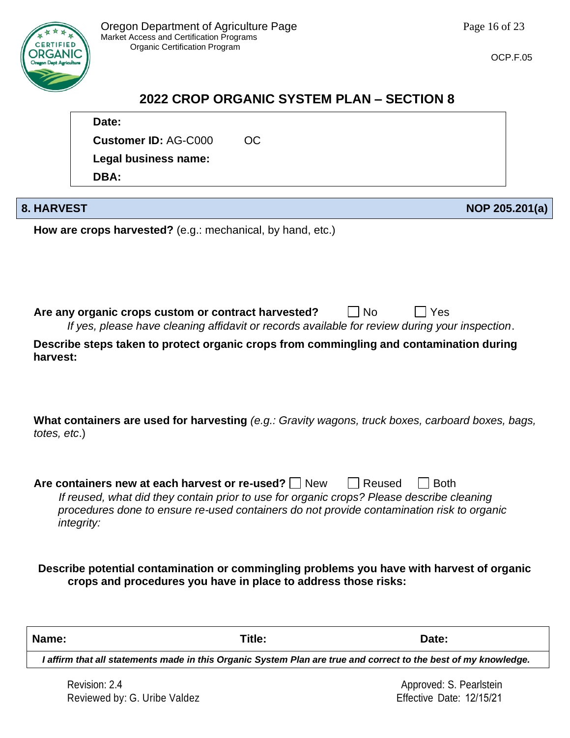

OCP.F.05

## **2022 CROP ORGANIC SYSTEM PLAN – SECTION 8**

|                   | Date:                                                                                                                                                                                  |           |        |             |                |
|-------------------|----------------------------------------------------------------------------------------------------------------------------------------------------------------------------------------|-----------|--------|-------------|----------------|
|                   | <b>Customer ID: AG-C000</b>                                                                                                                                                            | <b>OC</b> |        |             |                |
|                   | Legal business name:                                                                                                                                                                   |           |        |             |                |
|                   | DBA:                                                                                                                                                                                   |           |        |             |                |
|                   |                                                                                                                                                                                        |           |        |             |                |
| <b>8. HARVEST</b> |                                                                                                                                                                                        |           |        |             | NOP 205.201(a) |
|                   | How are crops harvested? (e.g.: mechanical, by hand, etc.)                                                                                                                             |           |        |             |                |
|                   |                                                                                                                                                                                        |           |        |             |                |
|                   |                                                                                                                                                                                        |           |        |             |                |
|                   |                                                                                                                                                                                        |           |        |             |                |
|                   |                                                                                                                                                                                        |           |        |             |                |
|                   | Are any organic crops custom or contract harvested?                                                                                                                                    |           | No     | Yes         |                |
|                   | If yes, please have cleaning affidavit or records available for review during your inspection.                                                                                         |           |        |             |                |
| harvest:          | Describe steps taken to protect organic crops from commingling and contamination during                                                                                                |           |        |             |                |
|                   |                                                                                                                                                                                        |           |        |             |                |
|                   |                                                                                                                                                                                        |           |        |             |                |
|                   |                                                                                                                                                                                        |           |        |             |                |
|                   | What containers are used for harvesting (e.g.: Gravity wagons, truck boxes, carboard boxes, bags,                                                                                      |           |        |             |                |
| totes, etc.)      |                                                                                                                                                                                        |           |        |             |                |
|                   |                                                                                                                                                                                        |           |        |             |                |
|                   |                                                                                                                                                                                        |           |        |             |                |
|                   | Are containers new at each harvest or re-used? $\Box$ New                                                                                                                              |           | Reused | <b>Both</b> |                |
|                   | If reused, what did they contain prior to use for organic crops? Please describe cleaning<br>procedures done to ensure re-used containers do not provide contamination risk to organic |           |        |             |                |
|                   | <i>integrity:</i>                                                                                                                                                                      |           |        |             |                |
|                   |                                                                                                                                                                                        |           |        |             |                |
|                   |                                                                                                                                                                                        |           |        |             |                |
|                   | Describe potential contamination or commingling problems you have with harvest of organic                                                                                              |           |        |             |                |
|                   | crops and procedures you have in place to address those risks:                                                                                                                         |           |        |             |                |
|                   |                                                                                                                                                                                        |           |        |             |                |
|                   |                                                                                                                                                                                        |           |        |             |                |
| Name:             |                                                                                                                                                                                        | Title:    |        | Date:       |                |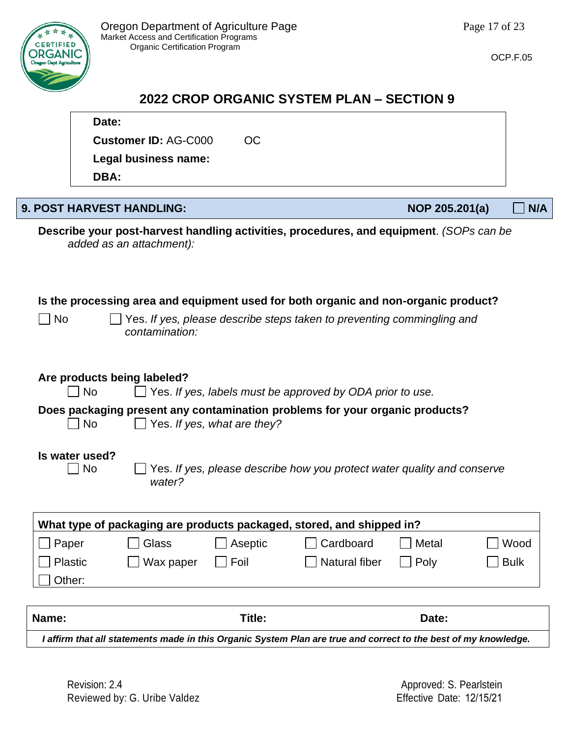**Customer ID: AG-C000 OC** 

**Legal business name:** 



# **2022 CROP ORGANIC SYSTEM PLAN – SECTION 9**

|           | DBA:                                                                                                             |                                  |                             |                                                                                         |                |  |             |
|-----------|------------------------------------------------------------------------------------------------------------------|----------------------------------|-----------------------------|-----------------------------------------------------------------------------------------|----------------|--|-------------|
|           |                                                                                                                  |                                  |                             |                                                                                         |                |  |             |
|           |                                                                                                                  | <b>9. POST HARVEST HANDLING:</b> |                             |                                                                                         | NOP 205.201(a) |  | N/A         |
|           |                                                                                                                  | added as an attachment):         |                             | Describe your post-harvest handling activities, procedures, and equipment. (SOPs can be |                |  |             |
|           |                                                                                                                  |                                  |                             | Is the processing area and equipment used for both organic and non-organic product?     |                |  |             |
| <b>No</b> |                                                                                                                  | contamination:                   |                             | Yes. If yes, please describe steps taken to preventing commingling and                  |                |  |             |
|           | No                                                                                                               | Are products being labeled?      |                             | Yes. If yes, labels must be approved by ODA prior to use.                               |                |  |             |
|           | <b>No</b>                                                                                                        |                                  | Yes. If yes, what are they? | Does packaging present any contamination problems for your organic products?            |                |  |             |
|           | Is water used?<br>Yes. If yes, please describe how you protect water quality and conserve<br><b>No</b><br>water? |                                  |                             |                                                                                         |                |  |             |
|           |                                                                                                                  |                                  |                             | What type of packaging are products packaged, stored, and shipped in?                   |                |  |             |
| Paper     |                                                                                                                  | Glass                            | Aseptic                     | Cardboard                                                                               | Metal          |  | Wood        |
| Plastic   |                                                                                                                  | Wax paper                        | Foil                        | Natural fiber                                                                           | Poly           |  | <b>Bulk</b> |
| Other:    |                                                                                                                  |                                  |                             |                                                                                         |                |  |             |
| Name:     |                                                                                                                  |                                  | Title:                      |                                                                                         | Date:          |  |             |

*I affirm that all statements made in this Organic System Plan are true and correct to the best of my knowledge.*



**Date:** 

OCP.F.05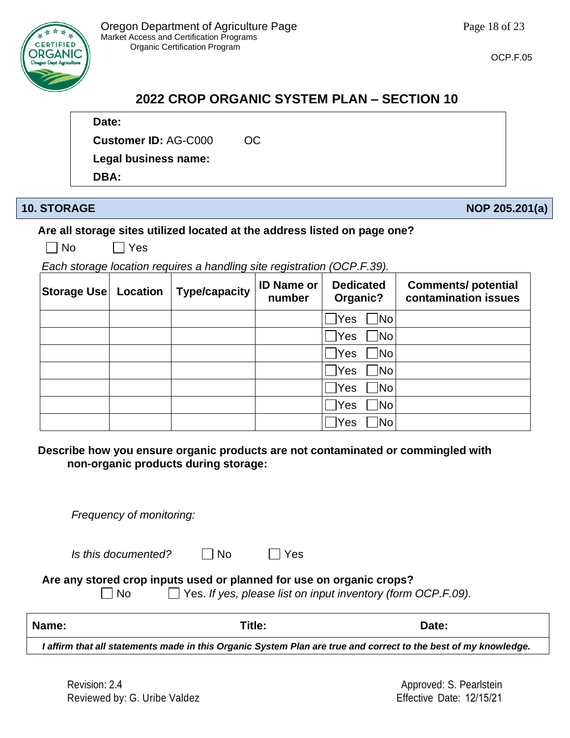

# **2022 CROP ORGANIC SYSTEM PLAN – SECTION 10**

### **Date:**

**Customer ID:** AG-C000 OC

**Legal business name:** 

**DBA:** 

## **10. STORAGE NOP 205.201(a)**

## **Are all storage sites utilized located at the address listed on page one?**

 $\neg$  No  $\neg$  Yes

*Each storage location requires a handling site registration (OCP.F.39).*

| Storage Use | Location | <b>Type/capacity</b> | <b>ID Name or</b><br>number | <b>Dedicated</b><br>Organic?   | <b>Comments/potential</b><br>contamination issues |
|-------------|----------|----------------------|-----------------------------|--------------------------------|---------------------------------------------------|
|             |          |                      |                             | Yes<br> No                     |                                                   |
|             |          |                      |                             | Yes<br>No                      |                                                   |
|             |          |                      |                             | Yes<br>$\sqrt{\phantom{a}}$ No |                                                   |
|             |          |                      |                             | Yes<br>∏No                     |                                                   |
|             |          |                      |                             | ÎΝο<br>Yes                     |                                                   |
|             |          |                      |                             | ]No<br>Yes                     |                                                   |
|             |          |                      |                             | No<br>Yes                      |                                                   |

**Describe how you ensure organic products are not contaminated or commingled with non-organic products during storage:**

*Frequency of monitoring:*

| Is this documented? | $\square$ No | $\Box$ Yes |
|---------------------|--------------|------------|
|                     |              |            |

**Are any stored crop inputs used or planned for use on organic crops?**

No Yes. *If yes, please list on input inventory (form OCP.F.09).*

| <b>Name:</b>                                                                                                    | Title: | Date: |  |
|-----------------------------------------------------------------------------------------------------------------|--------|-------|--|
| I affirm that all statements made in this Organic System Plan are true and correct to the best of my knowledge. |        |       |  |

Revision: 2.4 Reviewed by: G. Uribe Valdez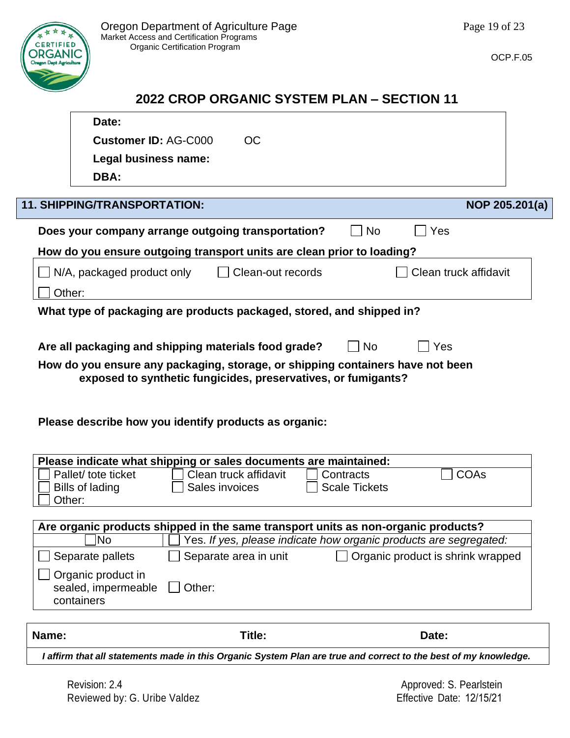

OCP.F.05

## **2022 CROP ORGANIC SYSTEM PLAN – SECTION 11**

|                                                                                                                                                 | Date:                                                                             |                          |                      |                                                                   |  |
|-------------------------------------------------------------------------------------------------------------------------------------------------|-----------------------------------------------------------------------------------|--------------------------|----------------------|-------------------------------------------------------------------|--|
|                                                                                                                                                 | <b>Customer ID: AG-C000</b>                                                       | <b>OC</b>                |                      |                                                                   |  |
|                                                                                                                                                 | Legal business name:                                                              |                          |                      |                                                                   |  |
|                                                                                                                                                 | DBA:                                                                              |                          |                      |                                                                   |  |
|                                                                                                                                                 |                                                                                   |                          |                      |                                                                   |  |
|                                                                                                                                                 | <b>11. SHIPPING/TRANSPORTATION:</b>                                               |                          |                      | NOP 205.201(a)                                                    |  |
|                                                                                                                                                 | Does your company arrange outgoing transportation?                                |                          | <b>No</b>            | Yes                                                               |  |
|                                                                                                                                                 | How do you ensure outgoing transport units are clean prior to loading?            |                          |                      |                                                                   |  |
|                                                                                                                                                 | N/A, packaged product only                                                        | $\Box$ Clean-out records |                      | Clean truck affidavit                                             |  |
| Other:                                                                                                                                          |                                                                                   |                          |                      |                                                                   |  |
|                                                                                                                                                 | What type of packaging are products packaged, stored, and shipped in?             |                          |                      |                                                                   |  |
|                                                                                                                                                 |                                                                                   |                          |                      |                                                                   |  |
|                                                                                                                                                 | Are all packaging and shipping materials food grade?                              |                          | <b>No</b>            | Yes                                                               |  |
|                                                                                                                                                 |                                                                                   |                          |                      |                                                                   |  |
| How do you ensure any packaging, storage, or shipping containers have not been<br>exposed to synthetic fungicides, preservatives, or fumigants? |                                                                                   |                          |                      |                                                                   |  |
|                                                                                                                                                 |                                                                                   |                          |                      |                                                                   |  |
|                                                                                                                                                 |                                                                                   |                          |                      |                                                                   |  |
|                                                                                                                                                 |                                                                                   |                          |                      |                                                                   |  |
|                                                                                                                                                 | Please describe how you identify products as organic:                             |                          |                      |                                                                   |  |
|                                                                                                                                                 |                                                                                   |                          |                      |                                                                   |  |
|                                                                                                                                                 | Please indicate what shipping or sales documents are maintained:                  |                          |                      |                                                                   |  |
|                                                                                                                                                 | Pallet/ tote ticket                                                               | Clean truck affidavit    | Contracts            | <b>COAs</b>                                                       |  |
| Other:                                                                                                                                          | <b>Bills of lading</b>                                                            | Sales invoices           | <b>Scale Tickets</b> |                                                                   |  |
|                                                                                                                                                 |                                                                                   |                          |                      |                                                                   |  |
|                                                                                                                                                 | Are organic products shipped in the same transport units as non-organic products? |                          |                      |                                                                   |  |
|                                                                                                                                                 | No                                                                                |                          |                      | Yes. If yes, please indicate how organic products are segregated: |  |
|                                                                                                                                                 | Separate pallets                                                                  | Separate area in unit    |                      | Organic product is shrink wrapped                                 |  |
|                                                                                                                                                 | Organic product in                                                                |                          |                      |                                                                   |  |
|                                                                                                                                                 | sealed, impermeable                                                               | Other:                   |                      |                                                                   |  |
|                                                                                                                                                 | containers                                                                        |                          |                      |                                                                   |  |
|                                                                                                                                                 |                                                                                   |                          |                      |                                                                   |  |
| Name:                                                                                                                                           |                                                                                   | Title:                   |                      | Date:                                                             |  |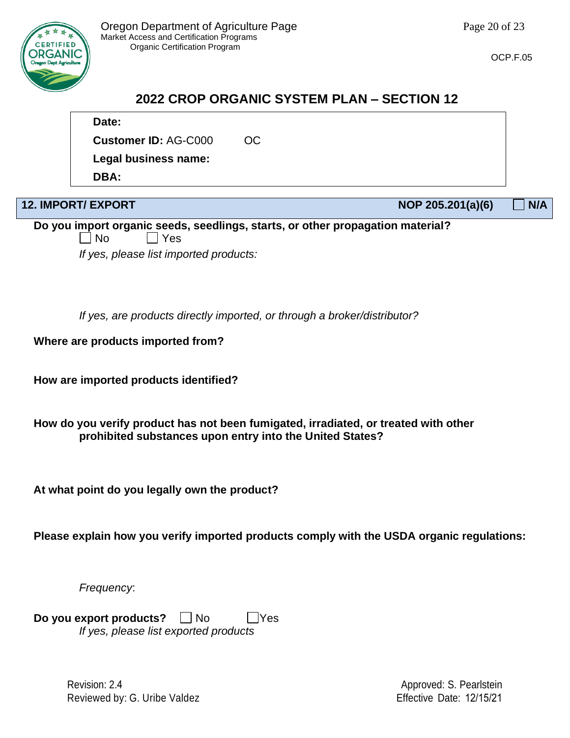

# **2022 CROP ORGANIC SYSTEM PLAN – SECTION 12**

## **Date:**

**Customer ID:** AG-C000 OC

**Legal business name:** 

**DBA:** 

**12. IMPORT/ EXPORT NOP 205.201(a)(6) N/A**

**Do you import organic seeds, seedlings, starts, or other propagation material?**  $\neg$  No  $\neg$  Yes *If yes, please list imported products:*

*If yes, are products directly imported, or through a broker/distributor?*

**Where are products imported from?**

**How are imported products identified?**

**How do you verify product has not been fumigated, irradiated, or treated with other prohibited substances upon entry into the United States?**

**At what point do you legally own the product?**

**Please explain how you verify imported products comply with the USDA organic regulations:**

*Frequency*:

**Do you export products?**  $\Box$  No  $\Box$  Yes *If yes, please list exported products*

> Revision: 2.4 Reviewed by: G. Uribe Valdez

Approved: S. Pearlstein Effective Date: 12/15/21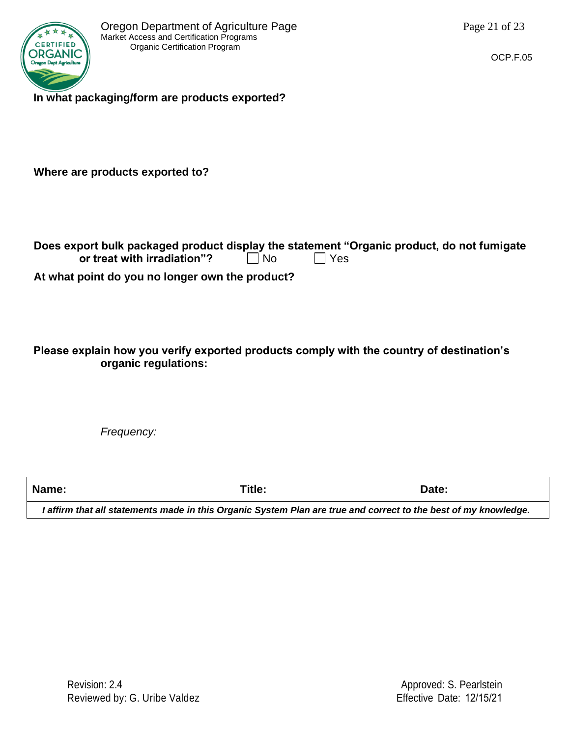

**In what packaging/form are products exported?**

**Where are products exported to?**

| Does export bulk packaged product display the statement "Organic product, do not fumigate |    |       |  |
|-------------------------------------------------------------------------------------------|----|-------|--|
| or treat with irradiation"?                                                               | No | l Yes |  |

**At what point do you no longer own the product?**

**Please explain how you verify exported products comply with the country of destination's organic regulations:**

*Frequency:*

**Name: Title: Date:**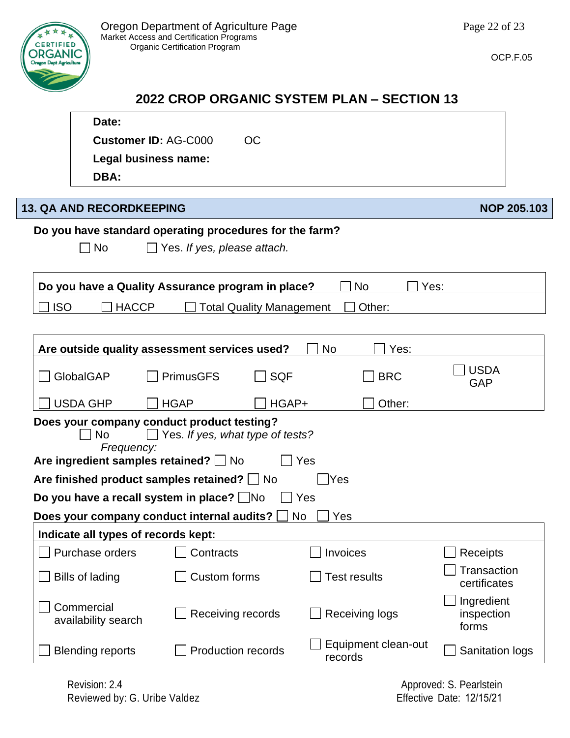

 $\Gamma$ 

OCP.F.05

# **2022 CROP ORGANIC SYSTEM PLAN – SECTION 13**

|            | Date:                                      |                                                         |                                |                                   |
|------------|--------------------------------------------|---------------------------------------------------------|--------------------------------|-----------------------------------|
|            | <b>Customer ID: AG-C000</b>                | <b>OC</b>                                               |                                |                                   |
|            | Legal business name:                       |                                                         |                                |                                   |
|            | DBA:                                       |                                                         |                                |                                   |
|            |                                            |                                                         |                                |                                   |
|            | <b>13. QA AND RECORDKEEPING</b>            |                                                         |                                | <b>NOP 205.103</b>                |
|            |                                            | Do you have standard operating procedures for the farm? |                                |                                   |
|            | $\Box$ No                                  | $\Box$ Yes. If yes, please attach.                      |                                |                                   |
|            |                                            |                                                         |                                |                                   |
|            |                                            | Do you have a Quality Assurance program in place?       | <b>No</b><br>Yes:              |                                   |
| <b>ISO</b> | <b>HACCP</b>                               | <b>Total Quality Management</b>                         | Other:                         |                                   |
|            |                                            |                                                         |                                |                                   |
|            |                                            | Are outside quality assessment services used?           | <b>No</b><br>Yes:              |                                   |
|            |                                            |                                                         |                                | <b>USDA</b>                       |
|            | GlobalGAP                                  | <b>SQF</b><br><b>PrimusGFS</b>                          | <b>BRC</b>                     | <b>GAP</b>                        |
|            | <b>USDA GHP</b>                            | <b>HGAP</b><br>HGAP+                                    | Other:                         |                                   |
|            |                                            | Does your company conduct product testing?              |                                |                                   |
|            | <b>No</b><br>Frequency:                    | Yes. If yes, what type of tests?                        |                                |                                   |
|            | Are ingredient samples retained? $\Box$ No |                                                         | Yes                            |                                   |
|            |                                            | Are finished product samples retained? $\Box$ No        | Yes                            |                                   |
|            |                                            | Do you have a recall system in place? No                | Yes                            |                                   |
|            |                                            | Does your company conduct internal audits?              | No<br>Yes                      |                                   |
|            | Indicate all types of records kept:        |                                                         |                                |                                   |
|            | Purchase orders                            | Contracts                                               | Invoices                       | Receipts                          |
|            | <b>Bills of lading</b>                     | <b>Custom forms</b>                                     | <b>Test results</b>            | Transaction<br>certificates       |
|            | Commercial<br>availability search          | Receiving records                                       | <b>Receiving logs</b>          | Ingredient<br>inspection<br>forms |
|            | <b>Blending reports</b>                    | <b>Production records</b>                               | Equipment clean-out<br>records | Sanitation logs                   |
|            |                                            |                                                         |                                |                                   |